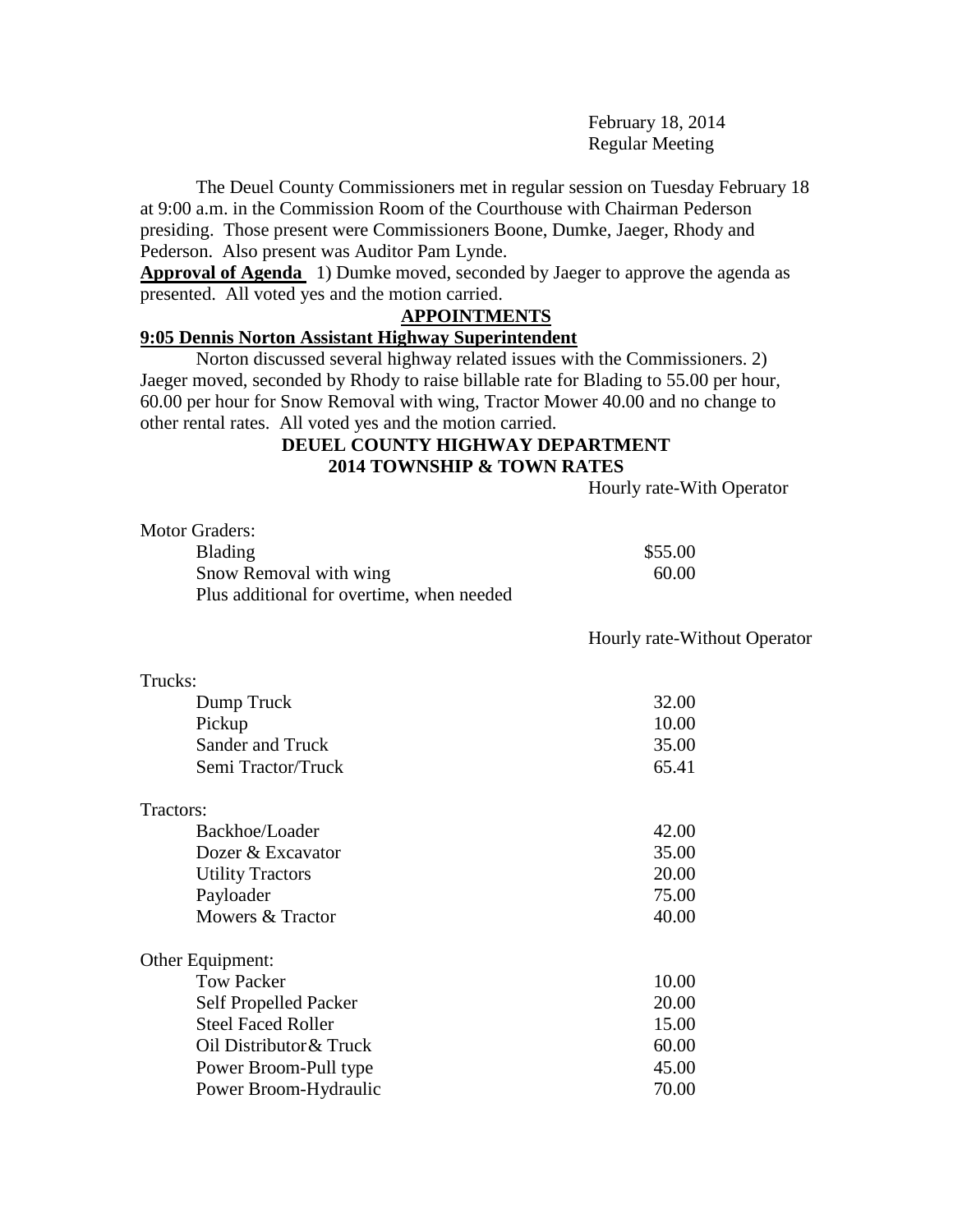February 18, 2014 Regular Meeting

The Deuel County Commissioners met in regular session on Tuesday February 18 at 9:00 a.m. in the Commission Room of the Courthouse with Chairman Pederson presiding. Those present were Commissioners Boone, Dumke, Jaeger, Rhody and Pederson. Also present was Auditor Pam Lynde.

**Approval of Agenda** 1) Dumke moved, seconded by Jaeger to approve the agenda as presented. All voted yes and the motion carried.

#### **APPOINTMENTS**

#### **9:05 Dennis Norton Assistant Highway Superintendent**

Norton discussed several highway related issues with the Commissioners. 2) Jaeger moved, seconded by Rhody to raise billable rate for Blading to 55.00 per hour, 60.00 per hour for Snow Removal with wing, Tractor Mower 40.00 and no change to other rental rates. All voted yes and the motion carried.

## **DEUEL COUNTY HIGHWAY DEPARTMENT 2014 TOWNSHIP & TOWN RATES**

Hourly rate-With Operator

| <b>Motor Graders:</b>                     |         |
|-------------------------------------------|---------|
| <b>Blading</b>                            | \$55.00 |
| Snow Removal with wing                    | 60.00   |
| Plus additional for overtime, when needed |         |

Hourly rate-Without Operator

| ч<br>г<br>ı |  |
|-------------|--|
|             |  |

| Dump Truck                   | 32.00 |
|------------------------------|-------|
| Pickup                       | 10.00 |
| Sander and Truck             | 35.00 |
| Semi Tractor/Truck           | 65.41 |
| Tractors:                    |       |
| Backhoe/Loader               | 42.00 |
| Dozer & Excavator            | 35.00 |
| <b>Utility Tractors</b>      | 20.00 |
| Payloader                    | 75.00 |
| Mowers & Tractor             | 40.00 |
| Other Equipment:             |       |
| <b>Tow Packer</b>            | 10.00 |
| <b>Self Propelled Packer</b> | 20.00 |
| <b>Steel Faced Roller</b>    | 15.00 |
| Oil Distributor & Truck      | 60.00 |
| Power Broom-Pull type        | 45.00 |
| Power Broom-Hydraulic        | 70.00 |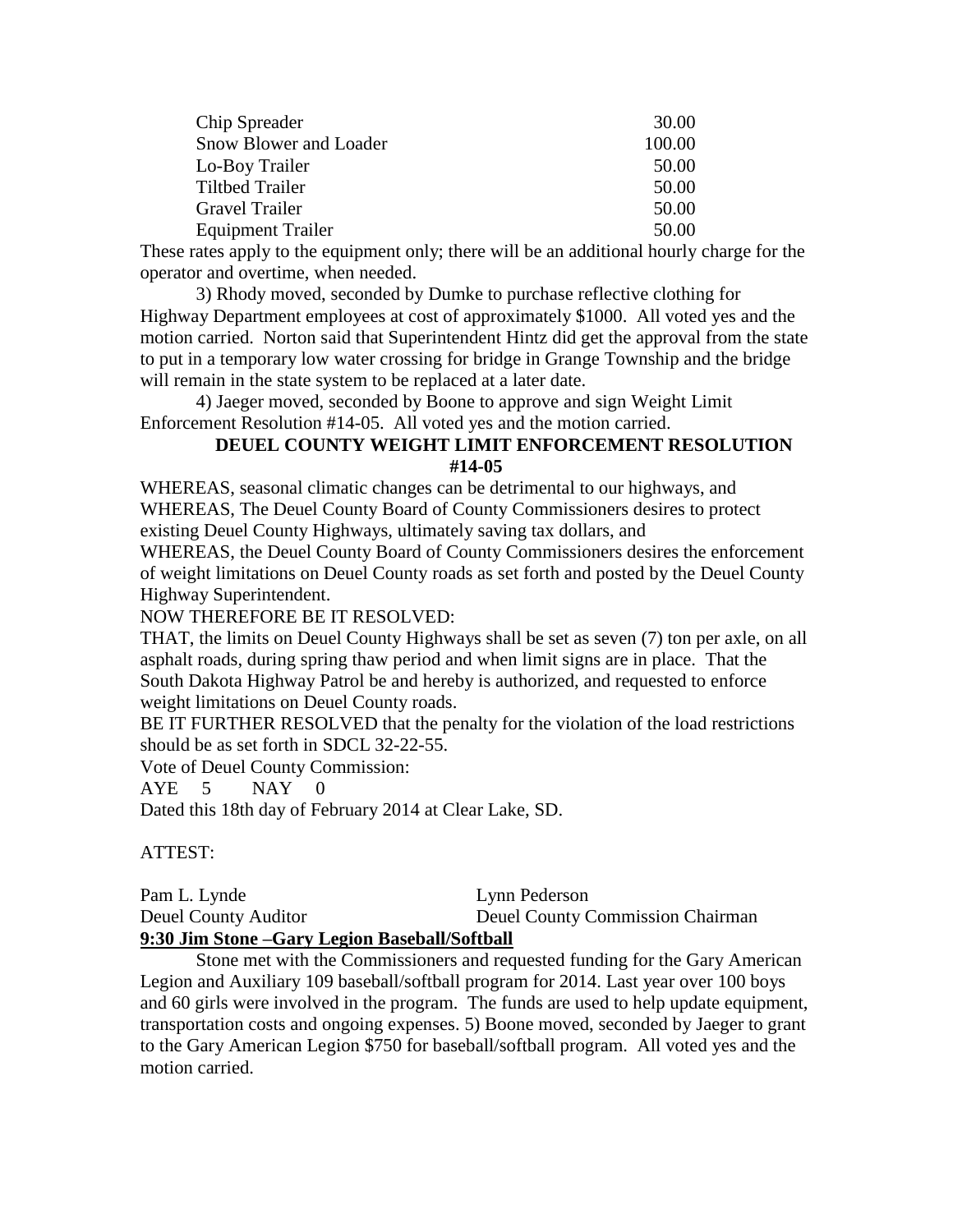| Chip Spreader            | 30.00  |
|--------------------------|--------|
| Snow Blower and Loader   | 100.00 |
| Lo-Boy Trailer           | 50.00  |
| <b>Tiltbed Trailer</b>   | 50.00  |
| <b>Gravel Trailer</b>    | 50.00  |
| <b>Equipment Trailer</b> | 50.00  |

These rates apply to the equipment only; there will be an additional hourly charge for the operator and overtime, when needed.

3) Rhody moved, seconded by Dumke to purchase reflective clothing for Highway Department employees at cost of approximately \$1000. All voted yes and the motion carried. Norton said that Superintendent Hintz did get the approval from the state to put in a temporary low water crossing for bridge in Grange Township and the bridge will remain in the state system to be replaced at a later date.

4) Jaeger moved, seconded by Boone to approve and sign Weight Limit Enforcement Resolution #14-05. All voted yes and the motion carried.

# **DEUEL COUNTY WEIGHT LIMIT ENFORCEMENT RESOLUTION #14-05**

WHEREAS, seasonal climatic changes can be detrimental to our highways, and WHEREAS, The Deuel County Board of County Commissioners desires to protect existing Deuel County Highways, ultimately saving tax dollars, and

WHEREAS, the Deuel County Board of County Commissioners desires the enforcement of weight limitations on Deuel County roads as set forth and posted by the Deuel County Highway Superintendent.

NOW THEREFORE BE IT RESOLVED:

THAT, the limits on Deuel County Highways shall be set as seven (7) ton per axle, on all asphalt roads, during spring thaw period and when limit signs are in place. That the South Dakota Highway Patrol be and hereby is authorized, and requested to enforce weight limitations on Deuel County roads.

BE IT FURTHER RESOLVED that the penalty for the violation of the load restrictions should be as set forth in SDCL 32-22-55.

Vote of Deuel County Commission:

AYE 5 NAY 0

Dated this 18th day of February 2014 at Clear Lake, SD.

## ATTEST:

Pam L. Lynde Lynn Pederson Deuel County Auditor Deuel County Commission Chairman **9:30 Jim Stone –Gary Legion Baseball/Softball** 

Stone met with the Commissioners and requested funding for the Gary American Legion and Auxiliary 109 baseball/softball program for 2014. Last year over 100 boys and 60 girls were involved in the program. The funds are used to help update equipment, transportation costs and ongoing expenses. 5) Boone moved, seconded by Jaeger to grant to the Gary American Legion \$750 for baseball/softball program. All voted yes and the motion carried.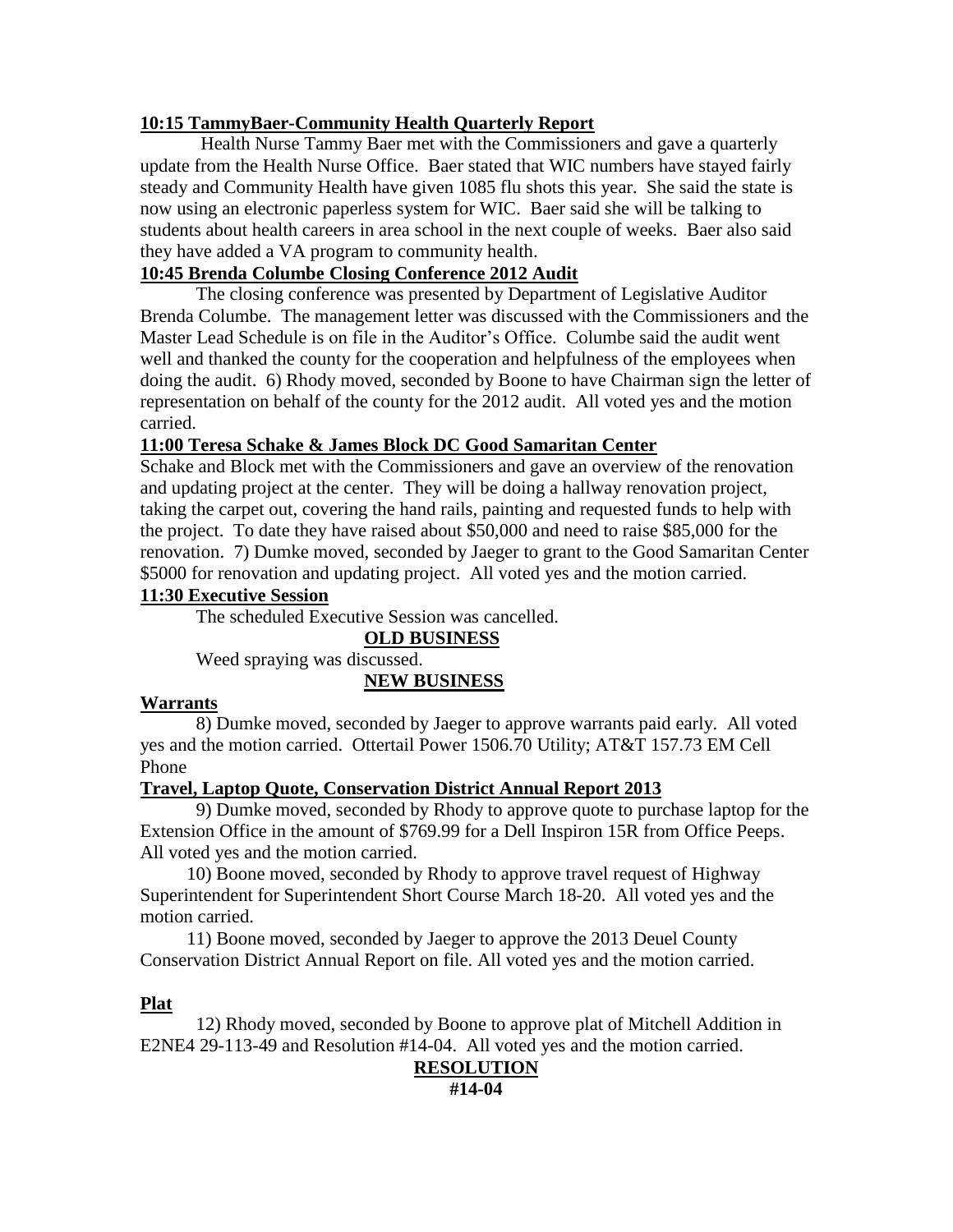## **10:15 TammyBaer-Community Health Quarterly Report**

Health Nurse Tammy Baer met with the Commissioners and gave a quarterly update from the Health Nurse Office. Baer stated that WIC numbers have stayed fairly steady and Community Health have given 1085 flu shots this year. She said the state is now using an electronic paperless system for WIC. Baer said she will be talking to students about health careers in area school in the next couple of weeks. Baer also said they have added a VA program to community health.

# **10:45 Brenda Columbe Closing Conference 2012 Audit**

The closing conference was presented by Department of Legislative Auditor Brenda Columbe. The management letter was discussed with the Commissioners and the Master Lead Schedule is on file in the Auditor's Office. Columbe said the audit went well and thanked the county for the cooperation and helpfulness of the employees when doing the audit. 6) Rhody moved, seconded by Boone to have Chairman sign the letter of representation on behalf of the county for the 2012 audit. All voted yes and the motion carried.

## **11:00 Teresa Schake & James Block DC Good Samaritan Center**

Schake and Block met with the Commissioners and gave an overview of the renovation and updating project at the center. They will be doing a hallway renovation project, taking the carpet out, covering the hand rails, painting and requested funds to help with the project. To date they have raised about \$50,000 and need to raise \$85,000 for the renovation. 7) Dumke moved, seconded by Jaeger to grant to the Good Samaritan Center \$5000 for renovation and updating project. All voted yes and the motion carried.

## **11:30 Executive Session**

The scheduled Executive Session was cancelled.

**OLD BUSINESS**

Weed spraying was discussed.

**NEW BUSINESS**

#### **Warrants**

8) Dumke moved, seconded by Jaeger to approve warrants paid early. All voted yes and the motion carried. Ottertail Power 1506.70 Utility; AT&T 157.73 EM Cell Phone

## **Travel, Laptop Quote, Conservation District Annual Report 2013**

9) Dumke moved, seconded by Rhody to approve quote to purchase laptop for the Extension Office in the amount of \$769.99 for a Dell Inspiron 15R from Office Peeps. All voted yes and the motion carried.

 10) Boone moved, seconded by Rhody to approve travel request of Highway Superintendent for Superintendent Short Course March 18-20. All voted yes and the motion carried.

 11) Boone moved, seconded by Jaeger to approve the 2013 Deuel County Conservation District Annual Report on file. All voted yes and the motion carried.

## **Plat**

12) Rhody moved, seconded by Boone to approve plat of Mitchell Addition in E2NE4 29-113-49 and Resolution #14-04. All voted yes and the motion carried.

## **RESOLUTION**

**#14-04**